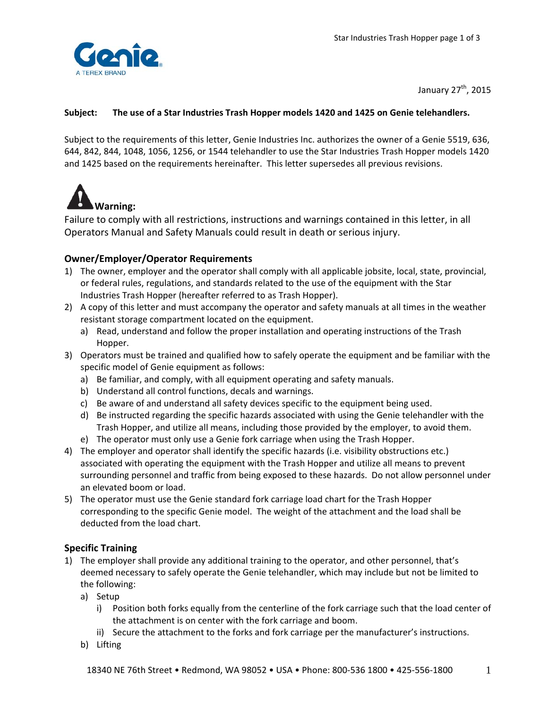

January 27<sup>th</sup>, 2015

## **Subject:** **The use of a Star Industries Trash Hopper models 1420 and 1425 on Genie telehandlers.**

Subject to the requirements of this letter, Genie Industries Inc. authorizes the owner of a Genie 5519, 636, 644, 842, 844, 1048, 1056, 1256, or 1544 telehandler to use the Star Industries Trash Hopper models 1420 and 1425 based on the requirements hereinafter. This letter supersedes all previous revisions.



Failure to comply with all restrictions, instructions and warnings contained in this letter, in all Operators Manual and Safety Manuals could result in death or serious injury.

## **Owner/Employer/Operator Requirements**

- 1) The owner, employer and the operator shall comply with all applicable jobsite, local, state, provincial, or federal rules, regulations, and standards related to the use of the equipment with the Star Industries Trash Hopper (hereafter referred to as Trash Hopper).
- 2) A copy of this letter and must accompany the operator and safety manuals at all times in the weather resistant storage compartment located on the equipment.
	- a) Read, understand and follow the proper installation and operating instructions of the Trash Hopper.
- 3) Operators must be trained and qualified how to safely operate the equipment and be familiar with the specific model of Genie equipment as follows:
	- a) Be familiar, and comply, with all equipment operating and safety manuals.
	- b) Understand all control functions, decals and warnings.
	- c) Be aware of and understand all safety devices specific to the equipment being used.
	- d) Be instructed regarding the specific hazards associated with using the Genie telehandler with the Trash Hopper, and utilize all means, including those provided by the employer, to avoid them.
	- e) The operator must only use a Genie fork carriage when using the Trash Hopper.
- 4) The employer and operator shall identify the specific hazards (i.e. visibility obstructions etc.) associated with operating the equipment with the Trash Hopper and utilize all means to prevent surrounding personnel and traffic from being exposed to these hazards. Do not allow personnel under an elevated boom or load.
- 5) The operator must use the Genie standard fork carriage load chart for the Trash Hopper corresponding to the specific Genie model. The weight of the attachment and the load shall be deducted from the load chart.

## **Specific Training**

- 1) The employer shall provide any additional training to the operator, and other personnel, that's deemed necessary to safely operate the Genie telehandler, which may include but not be limited to the following:
	- a) Setup
		- i) Position both forks equally from the centerline of the fork carriage such that the load center of the attachment is on center with the fork carriage and boom.
		- ii) Secure the attachment to the forks and fork carriage per the manufacturer's instructions.
	- b) Lifting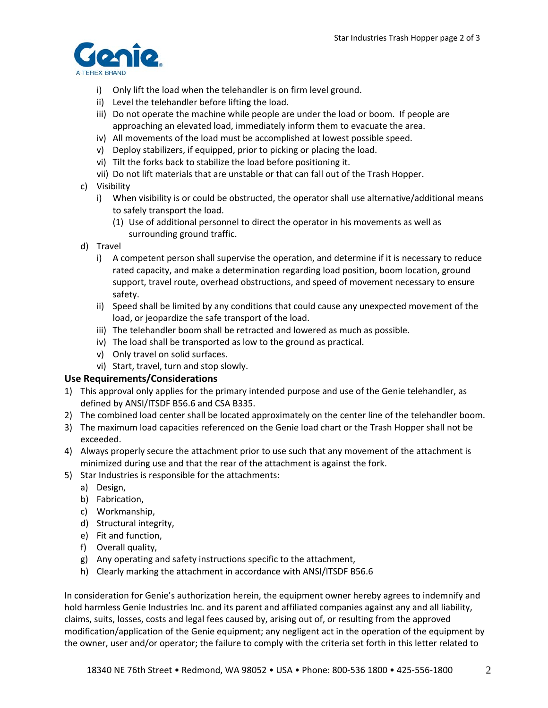

- i) Only lift the load when the telehandler is on firm level ground.
- ii) Level the telehandler before lifting the load.
- iii) Do not operate the machine while people are under the load or boom. If people are approaching an elevated load, immediately inform them to evacuate the area.
- iv) All movements of the load must be accomplished at lowest possible speed.
- v) Deploy stabilizers, if equipped, prior to picking or placing the load.
- vi) Tilt the forks back to stabilize the load before positioning it.
- vii) Do not lift materials that are unstable or that can fall out of the Trash Hopper.
- c) Visibility
	- i) When visibility is or could be obstructed, the operator shall use alternative/additional means to safely transport the load.
		- (1) Use of additional personnel to direct the operator in his movements as well as surrounding ground traffic.
- d) Travel
	- i) A competent person shall supervise the operation, and determine if it is necessary to reduce rated capacity, and make a determination regarding load position, boom location, ground support, travel route, overhead obstructions, and speed of movement necessary to ensure safety.
	- ii) Speed shall be limited by any conditions that could cause any unexpected movement of the load, or jeopardize the safe transport of the load.
	- iii) The telehandler boom shall be retracted and lowered as much as possible.
	- iv) The load shall be transported as low to the ground as practical.
	- v) Only travel on solid surfaces.
	- vi) Start, travel, turn and stop slowly.

## **Use Requirements/Considerations**

- 1) This approval only applies for the primary intended purpose and use of the Genie telehandler, as defined by ANSI/ITSDF B56.6 and CSA B335.
- 2) The combined load center shall be located approximately on the center line of the telehandler boom.
- 3) The maximum load capacities referenced on the Genie load chart or the Trash Hopper shall not be exceeded.
- 4) Always properly secure the attachment prior to use such that any movement of the attachment is minimized during use and that the rear of the attachment is against the fork.
- 5) Star Industries is responsible for the attachments:
	- a) Design,
	- b) Fabrication,
	- c) Workmanship,
	- d) Structural integrity,
	- e) Fit and function,
	- f) Overall quality,
	- g) Any operating and safety instructions specific to the attachment,
	- h) Clearly marking the attachment in accordance with ANSI/ITSDF B56.6

In consideration for Genie's authorization herein, the equipment owner hereby agrees to indemnify and hold harmless Genie Industries Inc. and its parent and affiliated companies against any and all liability, claims, suits, losses, costs and legal fees caused by, arising out of, or resulting from the approved modification/application of the Genie equipment; any negligent act in the operation of the equipment by the owner, user and/or operator; the failure to comply with the criteria set forth in this letter related to